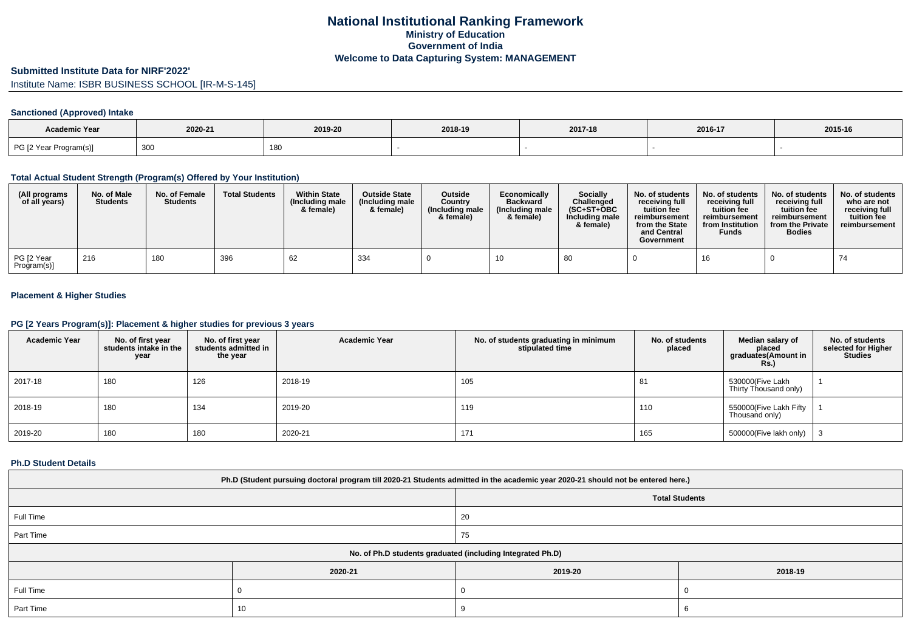## **Submitted Institute Data for NIRF'2022'**

Institute Name: ISBR BUSINESS SCHOOL [IR-M-S-145]

# **Sanctioned (Approved) Intake**

| Academic Year          |             |         |         |         |         |         |
|------------------------|-------------|---------|---------|---------|---------|---------|
|                        | 2020-21     | 2019-20 | 2018-19 | 2017-18 | 2016-17 | 2015-16 |
| PG [2 Year Program(s)] | 200<br>ັບບບ | 180     |         |         |         |         |

## **Total Actual Student Strength (Program(s) Offered by Your Institution)**

| (All programs<br>of all years) | No. of Male<br><b>Students</b> | No. of Female<br><b>Students</b> | <b>Total Students</b> | <b>Within State</b><br>(Including male<br>& female) | <b>Outside State</b><br>(Including male<br>& female) | <b>Outside</b><br>Country<br>(Including male<br>& female) | Economically<br><b>Backward</b><br>(Including male)<br>& female) | Socially<br>Challenged<br>$(SC+ST+OBC$<br>Including male<br>& female) | No. of students<br>receiving full<br>tuition fee<br>reimbursement<br>from the State<br>and Central<br>Government | No. of students<br>receiving full<br>tuition fee<br>reimbursement<br>from Institution<br><b>Funds</b> | No. of students<br>receiving full<br>tuition fee<br>reimbursement<br>from the Private<br><b>Bodies</b> | No. of students<br>who are not<br>receiving full<br>tuition fee<br>reimbursement |
|--------------------------------|--------------------------------|----------------------------------|-----------------------|-----------------------------------------------------|------------------------------------------------------|-----------------------------------------------------------|------------------------------------------------------------------|-----------------------------------------------------------------------|------------------------------------------------------------------------------------------------------------------|-------------------------------------------------------------------------------------------------------|--------------------------------------------------------------------------------------------------------|----------------------------------------------------------------------------------|
| PG [2 Year<br>Program(s)]      | 216                            | 180                              | 396                   | 62                                                  | 334                                                  |                                                           |                                                                  | -80                                                                   |                                                                                                                  | 16                                                                                                    |                                                                                                        | 74                                                                               |

# **Placement & Higher Studies**

## **PG [2 Years Program(s)]: Placement & higher studies for previous 3 years**

| <b>Academic Year</b> | No. of first year<br>students intake in the<br>year | No. of first vear<br>students admitted in<br>the year | <b>Academic Year</b> | No. of students graduating in minimum<br>stipulated time | No. of students<br>placed | Median salary of<br>placed<br>graduates(Amount in<br>Rs. | No. of students<br>selected for Higher<br><b>Studies</b> |
|----------------------|-----------------------------------------------------|-------------------------------------------------------|----------------------|----------------------------------------------------------|---------------------------|----------------------------------------------------------|----------------------------------------------------------|
| 2017-18              | 180                                                 | 126                                                   | 2018-19              | 105                                                      | 81                        | 530000(Five Lakh<br>Thirty Thousand only)                |                                                          |
| 2018-19              | 180                                                 | 134                                                   | 2019-20              | 119                                                      | 110                       | 550000(Five Lakh Fifty  <br>Thousand only)               |                                                          |
| 2019-20              | 180                                                 | 180                                                   | 2020-21              | 171                                                      | 165                       | 500000(Five lakh only)                                   |                                                          |

### **Ph.D Student Details**

| Ph.D (Student pursuing doctoral program till 2020-21 Students admitted in the academic year 2020-21 should not be entered here.) |         |                                                            |         |  |  |  |  |
|----------------------------------------------------------------------------------------------------------------------------------|---------|------------------------------------------------------------|---------|--|--|--|--|
|                                                                                                                                  |         | <b>Total Students</b>                                      |         |  |  |  |  |
| Full Time                                                                                                                        |         | 20                                                         |         |  |  |  |  |
| Part Time                                                                                                                        |         | 75                                                         |         |  |  |  |  |
|                                                                                                                                  |         | No. of Ph.D students graduated (including Integrated Ph.D) |         |  |  |  |  |
|                                                                                                                                  | 2020-21 | 2019-20                                                    | 2018-19 |  |  |  |  |
| Full Time                                                                                                                        |         |                                                            |         |  |  |  |  |
| Part Time                                                                                                                        | 10      |                                                            |         |  |  |  |  |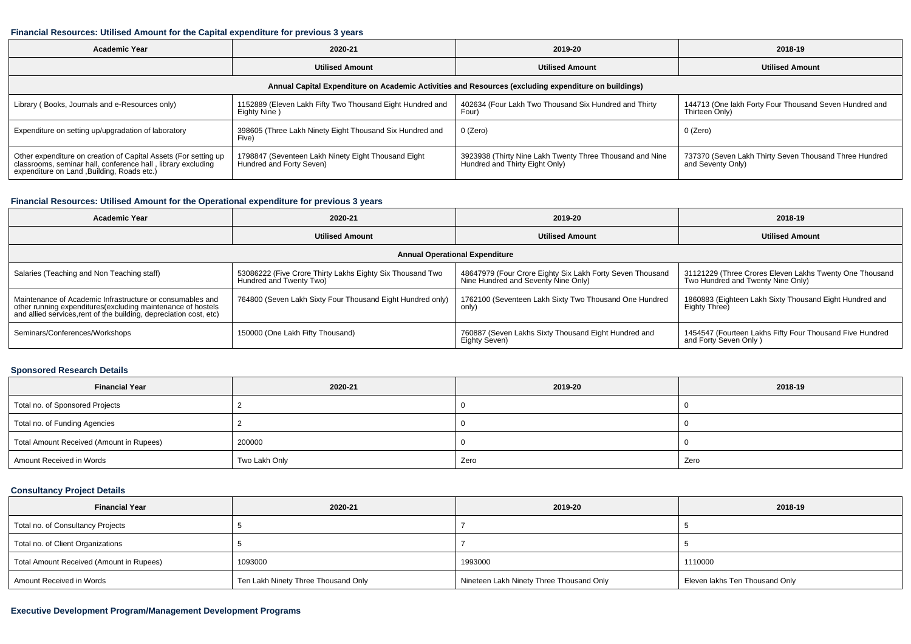#### **Financial Resources: Utilised Amount for the Capital expenditure for previous 3 years**

| <b>Academic Year</b>                                                                                                                                                           | 2020-21                                                                         | 2019-20                                                                                    | 2018-19                                                                     |  |  |  |  |  |  |
|--------------------------------------------------------------------------------------------------------------------------------------------------------------------------------|---------------------------------------------------------------------------------|--------------------------------------------------------------------------------------------|-----------------------------------------------------------------------------|--|--|--|--|--|--|
|                                                                                                                                                                                | <b>Utilised Amount</b>                                                          | <b>Utilised Amount</b>                                                                     | <b>Utilised Amount</b>                                                      |  |  |  |  |  |  |
| Annual Capital Expenditure on Academic Activities and Resources (excluding expenditure on buildings)                                                                           |                                                                                 |                                                                                            |                                                                             |  |  |  |  |  |  |
| Library (Books, Journals and e-Resources only)                                                                                                                                 | 1152889 (Eleven Lakh Fifty Two Thousand Eight Hundred and<br>Eighty Nine)       | 402634 (Four Lakh Two Thousand Six Hundred and Thirty<br>Four)                             | 144713 (One lakh Forty Four Thousand Seven Hundred and<br>Thirteen Only)    |  |  |  |  |  |  |
| Expenditure on setting up/upgradation of laboratory                                                                                                                            | 398605 (Three Lakh Ninety Eight Thousand Six Hundred and<br>Five)               | 0 (Zero)                                                                                   | 0 (Zero)                                                                    |  |  |  |  |  |  |
| Other expenditure on creation of Capital Assets (For setting up<br>classrooms, seminar hall, conference hall, library excluding<br>expenditure on Land , Building, Roads etc.) | 1798847 (Seventeen Lakh Ninety Eight Thousand Eight<br>Hundred and Forty Seven) | 3923938 (Thirty Nine Lakh Twenty Three Thousand and Nine<br>Hundred and Thirty Eight Only) | 737370 (Seven Lakh Thirty Seven Thousand Three Hundred<br>and Seventy Only) |  |  |  |  |  |  |

## **Financial Resources: Utilised Amount for the Operational expenditure for previous 3 years**

| <b>Academic Year</b>                                                                                                                                                                           | 2020-21                                                                              | 2019-20                                                                                          | 2018-19                                                                                      |  |  |  |  |  |  |
|------------------------------------------------------------------------------------------------------------------------------------------------------------------------------------------------|--------------------------------------------------------------------------------------|--------------------------------------------------------------------------------------------------|----------------------------------------------------------------------------------------------|--|--|--|--|--|--|
| <b>Utilised Amount</b>                                                                                                                                                                         |                                                                                      | <b>Utilised Amount</b>                                                                           | <b>Utilised Amount</b>                                                                       |  |  |  |  |  |  |
| <b>Annual Operational Expenditure</b>                                                                                                                                                          |                                                                                      |                                                                                                  |                                                                                              |  |  |  |  |  |  |
| Salaries (Teaching and Non Teaching staff)                                                                                                                                                     | 53086222 (Five Crore Thirty Lakhs Eighty Six Thousand Two<br>Hundred and Twenty Two) | 48647979 (Four Crore Eighty Six Lakh Forty Seven Thousand<br>Nine Hundred and Seventy Nine Only) | 31121229 (Three Crores Eleven Lakhs Twenty One Thousand<br>Two Hundred and Twenty Nine Only) |  |  |  |  |  |  |
| Maintenance of Academic Infrastructure or consumables and<br>other running expenditures(excluding maintenance of hostels<br>and allied services, rent of the building, depreciation cost, etc) | 764800 (Seven Lakh Sixty Four Thousand Eight Hundred only)                           | 1762100 (Seventeen Lakh Sixty Two Thousand One Hundred<br>only)                                  | 1860883 (Eighteen Lakh Sixty Thousand Eight Hundred and<br>Eighty Three)                     |  |  |  |  |  |  |
| Seminars/Conferences/Workshops                                                                                                                                                                 | 150000 (One Lakh Fifty Thousand)                                                     | 760887 (Seven Lakhs Sixty Thousand Eight Hundred and<br>Eighty Seven)                            | 1454547 (Fourteen Lakhs Fifty Four Thousand Five Hundred<br>and Forty Seven Only)            |  |  |  |  |  |  |

# **Sponsored Research Details**

| <b>Financial Year</b>                    | 2020-21       | 2019-20 | 2018-19 |
|------------------------------------------|---------------|---------|---------|
| Total no. of Sponsored Projects          |               |         |         |
| Total no. of Funding Agencies            |               |         |         |
| Total Amount Received (Amount in Rupees) | 200000        |         |         |
| Amount Received in Words                 | Two Lakh Only | Zero    | Zero    |

# **Consultancy Project Details**

| 2020-21<br><b>Financial Year</b>         |                                     | 2019-20                                  | 2018-19                        |
|------------------------------------------|-------------------------------------|------------------------------------------|--------------------------------|
| Total no. of Consultancy Projects        |                                     |                                          |                                |
| Total no. of Client Organizations        |                                     |                                          |                                |
| Total Amount Received (Amount in Rupees) | 1093000                             | 1993000                                  | 1110000                        |
| Amount Received in Words                 | Ten Lakh Ninety Three Thousand Only | Nineteen Lakh Ninety Three Thousand Only | Eleven lakhs Ten Thousand Only |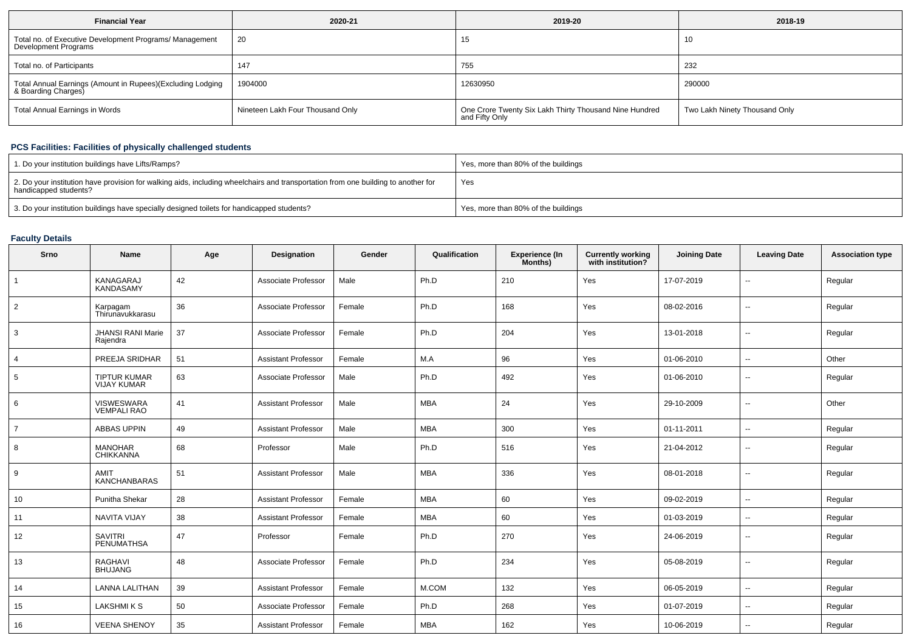| <b>Financial Year</b>                                                             | 2020-21                          | 2019-20                                                                  | 2018-19                       |
|-----------------------------------------------------------------------------------|----------------------------------|--------------------------------------------------------------------------|-------------------------------|
| Total no. of Executive Development Programs/ Management<br>Development Programs   | 20                               | 15                                                                       | 10                            |
| Total no. of Participants                                                         | 147                              | 755                                                                      | 232                           |
| Total Annual Earnings (Amount in Rupees)(Excluding Lodging<br>& Boarding Charges) | 1904000                          | 12630950                                                                 | 290000                        |
| Total Annual Earnings in Words                                                    | Nineteen Lakh Four Thousand Only | One Crore Twenty Six Lakh Thirty Thousand Nine Hundred<br>and Fifty Only | Two Lakh Ninety Thousand Only |

## **PCS Facilities: Facilities of physically challenged students**

| 1. Do your institution buildings have Lifts/Ramps?                                                                                                         | Yes, more than 80% of the buildings |
|------------------------------------------------------------------------------------------------------------------------------------------------------------|-------------------------------------|
| 2. Do your institution have provision for walking aids, including wheelchairs and transportation from one building to another for<br>handicapped students? | Yes                                 |
| 3. Do your institution buildings have specially designed toilets for handicapped students?                                                                 | Yes, more than 80% of the buildings |

## **Faculty Details**

| Srno           | <b>Name</b>                               | Age | Designation                | Gender | Qualification | Experience (In<br>Months) | <b>Currently working</b><br>with institution? | <b>Joining Date</b> | <b>Leaving Date</b>      | <b>Association type</b> |
|----------------|-------------------------------------------|-----|----------------------------|--------|---------------|---------------------------|-----------------------------------------------|---------------------|--------------------------|-------------------------|
| $\mathbf{1}$   | KANAGARAJ<br><b>KANDASAMY</b>             | 42  | Associate Professor        | Male   | Ph.D          | 210                       | Yes                                           | 17-07-2019          | $\overline{\phantom{a}}$ | Regular                 |
| $\overline{2}$ | Karpagam<br>Thirunavukkarasu              | 36  | Associate Professor        | Female | Ph.D          | 168                       | Yes                                           | 08-02-2016          | $\sim$                   | Regular                 |
| 3              | <b>JHANSI RANI Marie</b><br>Rajendra      | 37  | Associate Professor        | Female | Ph.D          | 204                       | Yes                                           | 13-01-2018          | ۰.                       | Regular                 |
| 4              | PREEJA SRIDHAR                            | 51  | <b>Assistant Professor</b> | Female | M.A           | 96                        | Yes                                           | 01-06-2010          | $\overline{\phantom{a}}$ | Other                   |
| 5              | <b>TIPTUR KUMAR</b><br><b>VIJAY KUMAR</b> | 63  | Associate Professor        | Male   | Ph.D          | 492                       | Yes                                           | 01-06-2010          | $\overline{\phantom{a}}$ | Regular                 |
| 6              | VISWESWARA<br><b>VEMPALI RAO</b>          | 41  | <b>Assistant Professor</b> | Male   | <b>MBA</b>    | 24                        | Yes                                           | 29-10-2009          | ۰.                       | Other                   |
| $\overline{7}$ | <b>ABBAS UPPIN</b>                        | 49  | <b>Assistant Professor</b> | Male   | MBA           | 300                       | Yes                                           | 01-11-2011          | $\overline{\phantom{a}}$ | Regular                 |
| 8              | <b>MANOHAR</b><br><b>CHIKKANNA</b>        | 68  | Professor                  | Male   | Ph.D          | 516                       | Yes                                           | 21-04-2012          | $\overline{\phantom{a}}$ | Regular                 |
| 9              | AMIT<br><b>KANCHANBARAS</b>               | 51  | <b>Assistant Professor</b> | Male   | <b>MBA</b>    | 336                       | Yes                                           | 08-01-2018          | ۰.                       | Regular                 |
| 10             | Punitha Shekar                            | 28  | <b>Assistant Professor</b> | Female | <b>MBA</b>    | 60                        | Yes                                           | 09-02-2019          | $\overline{\phantom{a}}$ | Regular                 |
| 11             | NAVITA VIJAY                              | 38  | <b>Assistant Professor</b> | Female | <b>MBA</b>    | 60                        | Yes                                           | 01-03-2019          | $\overline{\phantom{a}}$ | Regular                 |
| 12             | <b>SAVITRI</b><br>PENUMATHSA              | 47  | Professor                  | Female | Ph.D          | 270                       | Yes                                           | 24-06-2019          |                          | Regular                 |
| 13             | <b>RAGHAVI</b><br><b>BHUJANG</b>          | 48  | Associate Professor        | Female | Ph.D          | 234                       | Yes                                           | 05-08-2019          | $\overline{\phantom{a}}$ | Regular                 |
| 14             | <b>LANNA LALITHAN</b>                     | 39  | <b>Assistant Professor</b> | Female | M.COM         | 132                       | Yes                                           | 06-05-2019          | $\overline{\phantom{a}}$ | Regular                 |
| 15             | <b>LAKSHMIKS</b>                          | 50  | Associate Professor        | Female | Ph.D          | 268                       | Yes                                           | 01-07-2019          | $\overline{\phantom{a}}$ | Regular                 |
| 16             | <b>VEENA SHENOY</b>                       | 35  | <b>Assistant Professor</b> | Female | <b>MBA</b>    | 162                       | Yes                                           | 10-06-2019          | $\sim$                   | Regular                 |